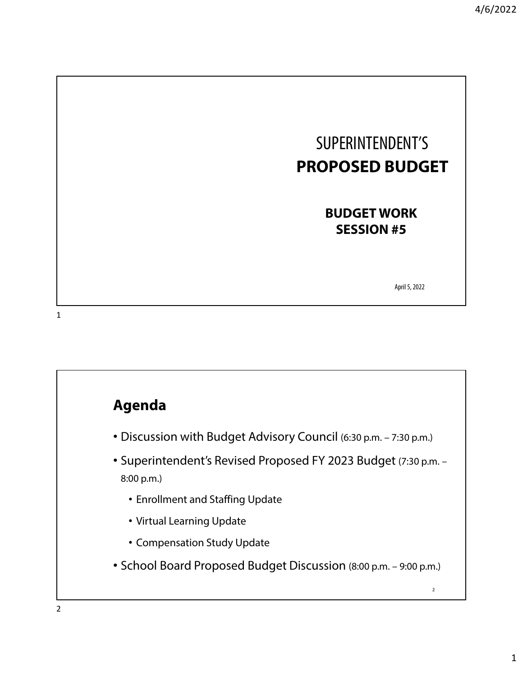

**BUDGET WORK SESSION #5**

April 5, 2022

1

#### **Agenda**

- Discussion with Budget Advisory Council (6:30 p.m. 7:30 p.m.)
- Superintendent's Revised Proposed FY 2023 Budget (7:30 p.m. 8:00 p.m.)
	- Enrollment and Staffing Update
	- Virtual Learning Update
	- Compensation Study Update
- School Board Proposed Budget Discussion (8:00 p.m. 9:00 p.m.)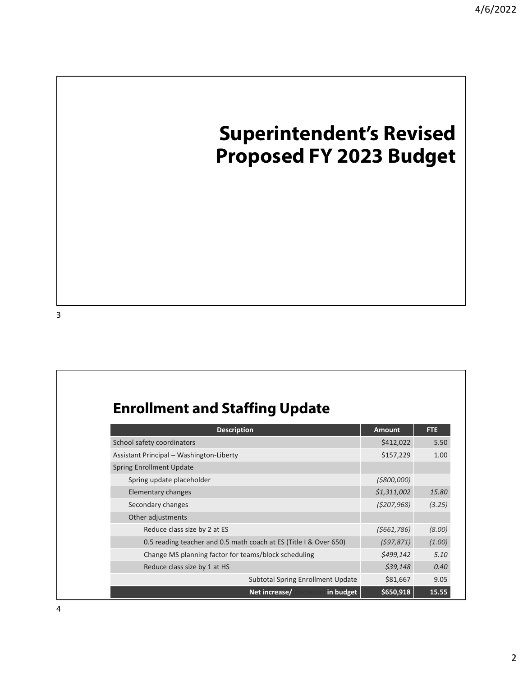# **Superintendent's Revised Proposed FY 2023 Budget**

#### **Enrollment and Staffing Update**

| <b>Description</b>                                                | <b>Amount</b> | <b>FTE</b> |
|-------------------------------------------------------------------|---------------|------------|
| School safety coordinators                                        | \$412,022     | 5.50       |
| Assistant Principal - Washington-Liberty                          | \$157,229     | 1.00       |
| <b>Spring Enrollment Update</b>                                   |               |            |
| Spring update placeholder                                         | ( \$800,000]  |            |
| Elementary changes                                                | \$1,311,002   | 15.80      |
| Secondary changes                                                 | (5207, 968)   | (3.25)     |
| Other adjustments                                                 |               |            |
| Reduce class size by 2 at ES                                      | (5661, 786)   | (8.00)     |
| 0.5 reading teacher and 0.5 math coach at ES (Title I & Over 650) | (597, 871)    | (1.00)     |
| Change MS planning factor for teams/block scheduling              | \$499,142     | 5.10       |
| Reduce class size by 1 at HS                                      | \$39,148      | 0.40       |
| <b>Subtotal Spring Enrollment Update</b>                          | \$81,667      | 9.05       |
| Net increase/<br>in budget                                        | \$650,918     | 15.55      |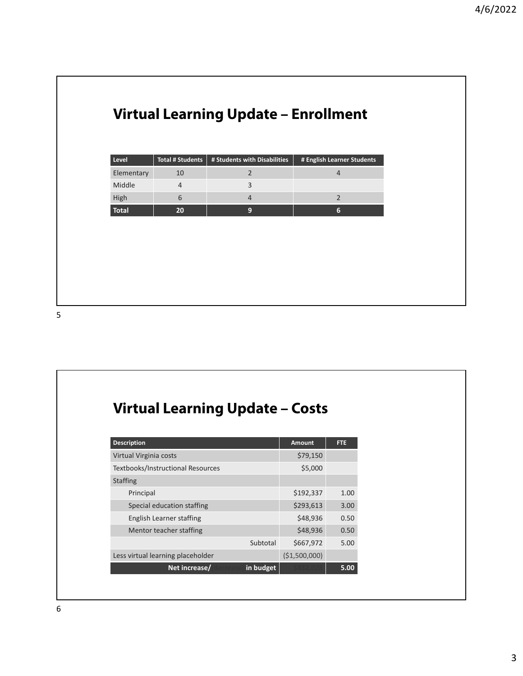#### **Virtual Learning Update – Enrollment**

| Level      | Total # Students | # Students with Disabilities | # English Learner Students |
|------------|------------------|------------------------------|----------------------------|
| Elementary |                  |                              |                            |
| Middle     |                  |                              |                            |
| High       |                  |                              |                            |
| Total      | 20               |                              | h                          |

5

## **Virtual Learning Update – Costs**

| <b>Description</b>                | <b>Amount</b> | <b>FTE</b> |
|-----------------------------------|---------------|------------|
| Virtual Virginia costs            | \$79,150      |            |
| Textbooks/Instructional Resources | \$5,000       |            |
| <b>Staffing</b>                   |               |            |
| Principal                         | \$192,337     | 1.00       |
| Special education staffing        | \$293,613     | 3.00       |
| English Learner staffing          | \$48,936      | 0.50       |
| Mentor teacher staffing           | \$48,936      | 0.50       |
| Subtotal                          | \$667,972     | 5.00       |
| Less virtual learning placeholder | (\$1,500,000) |            |
| in budget<br>Net increase/        |               | 5.00       |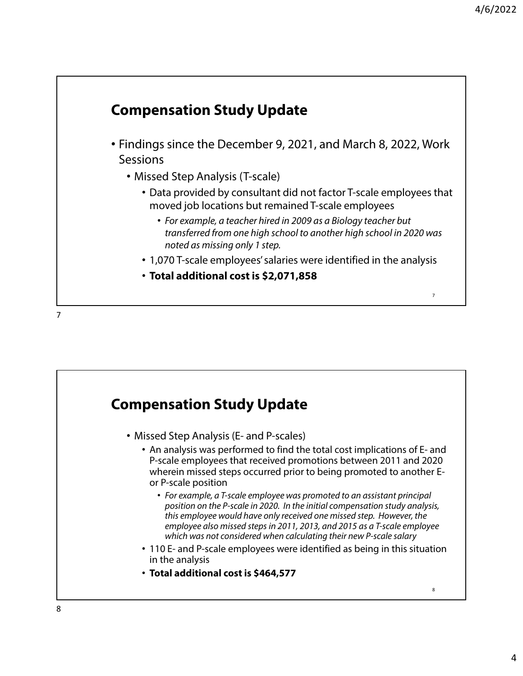#### **Compensation Study Update** • Findings since the December 9, 2021, and March 8, 2022, Work **Sessions** • Missed Step Analysis (T-scale) • Data provided by consultant did not factor T-scale employees that moved job locations but remained T-scale employees • For example, a teacher hired in 2009 as a Biology teacher but transferred from one high school to another high school in 2020 was noted as missing only 1 step. • 1,070 T-scale employees' salaries were identified in the analysis • **Total additional cost is \$2,071,858** 7 7

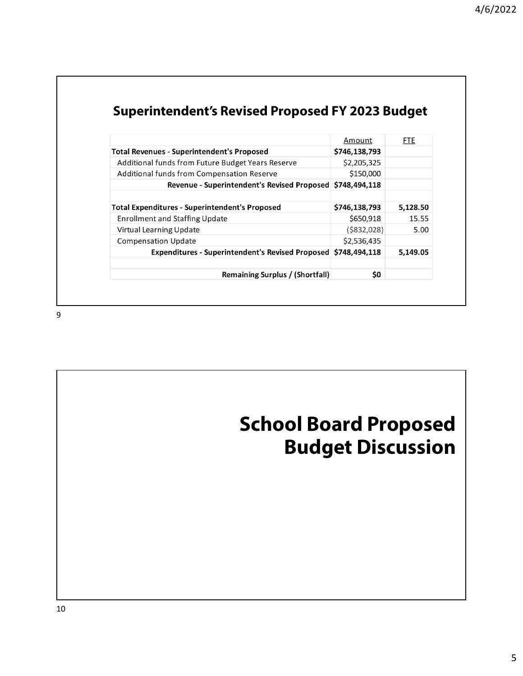| <b>Remaining Surplus / (Shortfall)</b>                         | \$0            |            |
|----------------------------------------------------------------|----------------|------------|
| Expenditures - Superintendent's Revised Proposed \$748,494,118 |                | 5,149.05   |
| <b>Compensation Update</b>                                     | \$2,536,435    |            |
|                                                                |                |            |
| <b>Virtual Learning Update</b>                                 | $($ \$832,028) | 5.00       |
| <b>Enrollment and Staffing Update</b>                          | \$650,918      | 15.55      |
| <b>Total Expenditures - Superintendent's Proposed</b>          | \$746,138,793  | 5,128.50   |
| Revenue - Superintendent's Revised Proposed \$748,494,118      |                |            |
| Additional funds from Compensation Reserve                     | \$150,000      |            |
| Additional funds from Future Budget Years Reserve              | \$2,205,325    |            |
| <b>Total Revenues - Superintendent's Proposed</b>              | \$746,138,793  |            |
|                                                                | Amount         | <b>FTE</b> |

#### **Superintendent's Revised Proposed FY 2023 Budget**

9

# **School Board Proposed Budget Discussion**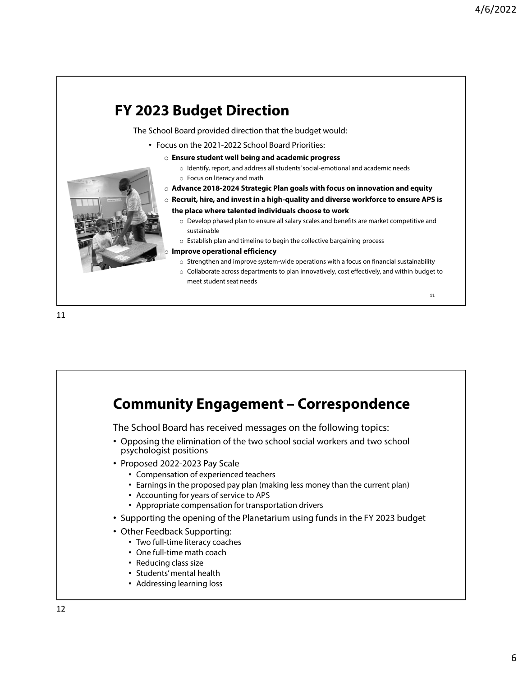

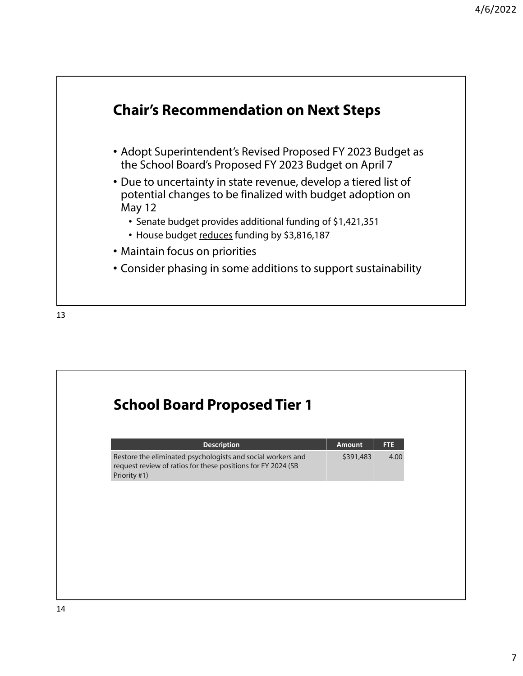

13

# **School Board Proposed Tier 1 Description Amount** FTE Restore the eliminated psychologists and social workers and request review of ratios for these positions for FY 2024 (SB Priority #1) \$391,483 4.00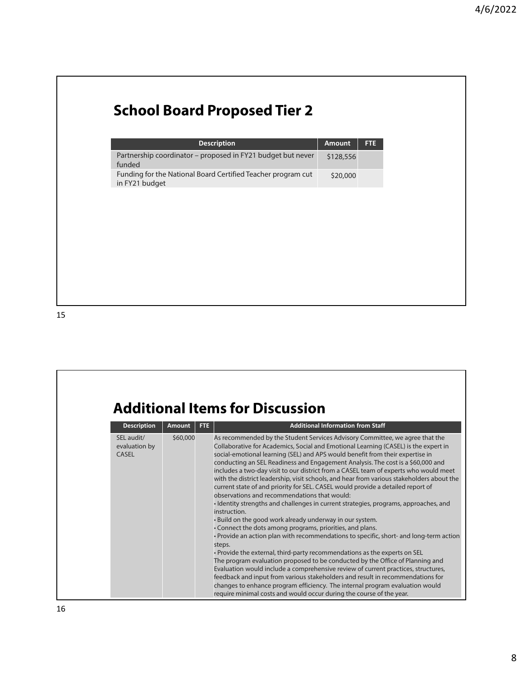## **School Board Proposed Tier 2**

| <b>Description</b>                                                             | Amount    | <b>FTE</b> |
|--------------------------------------------------------------------------------|-----------|------------|
| Partnership coordinator - proposed in FY21 budget but never<br>funded          | \$128,556 |            |
| Funding for the National Board Certified Teacher program cut<br>in FY21 budget | \$20,000  |            |

## **Additional Items for Discussion**

| <b>Description</b>                          | <b>Amount</b> | FTE. | <b>Additional Information from Staff</b>                                                                                                                                                                                                                                                                                                                                                                                                                                                                                                                                                                                                                                                                                                                                                                                                                                                                                                                                                                                                                                                                                                                                                                                                                                                                                                                                                                                                                                                          |
|---------------------------------------------|---------------|------|---------------------------------------------------------------------------------------------------------------------------------------------------------------------------------------------------------------------------------------------------------------------------------------------------------------------------------------------------------------------------------------------------------------------------------------------------------------------------------------------------------------------------------------------------------------------------------------------------------------------------------------------------------------------------------------------------------------------------------------------------------------------------------------------------------------------------------------------------------------------------------------------------------------------------------------------------------------------------------------------------------------------------------------------------------------------------------------------------------------------------------------------------------------------------------------------------------------------------------------------------------------------------------------------------------------------------------------------------------------------------------------------------------------------------------------------------------------------------------------------------|
| SEL audit/<br>evaluation by<br><b>CASEL</b> | \$60,000      |      | As recommended by the Student Services Advisory Committee, we agree that the<br>Collaborative for Academics, Social and Emotional Learning (CASEL) is the expert in<br>social-emotional learning (SEL) and APS would benefit from their expertise in<br>conducting an SEL Readiness and Engagement Analysis. The cost is a \$60,000 and<br>includes a two-day visit to our district from a CASEL team of experts who would meet<br>with the district leadership, visit schools, and hear from various stakeholders about the<br>current state of and priority for SEL. CASEL would provide a detailed report of<br>observations and recommendations that would:<br>• Identity strengths and challenges in current strategies, programs, approaches, and<br>instruction.<br>. Build on the good work already underway in our system.<br>• Connect the dots among programs, priorities, and plans.<br>• Provide an action plan with recommendations to specific, short- and long-term action<br>steps.<br>. Provide the external, third-party recommendations as the experts on SEL<br>The program evaluation proposed to be conducted by the Office of Planning and<br>Evaluation would include a comprehensive review of current practices, structures,<br>feedback and input from various stakeholders and result in recommendations for<br>changes to enhance program efficiency. The internal program evaluation would<br>require minimal costs and would occur during the course of the year. |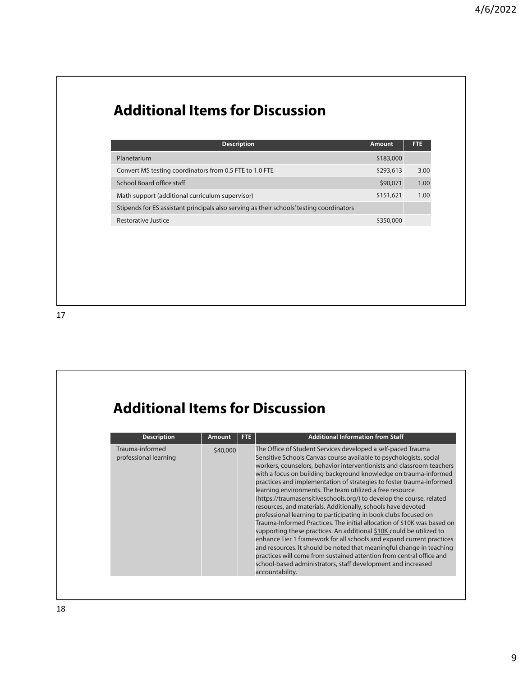#### **Additional Items for Discussion**

| <b>Description</b>                                                                       | <b>Amount</b> | FTE. |
|------------------------------------------------------------------------------------------|---------------|------|
| Planetarium                                                                              | \$183,000     |      |
| Convert MS testing coordinators from 0.5 FTE to 1.0 FTE                                  | \$293,613     | 3.00 |
| School Board office staff                                                                | \$90,071      | 1.00 |
| Math support (additional curriculum supervisor)                                          | \$151,621     | 1.00 |
| Stipends for ES assistant principals also serving as their schools' testing coordinators |               |      |
| Restorative Justice                                                                      | \$350,000     |      |

## **Additional Items for Discussion**

| <b>Description</b>                       | <b>Amount</b> | FTE | <b>Additional Information from Staff</b>                                                                                                                                                                                                                                                                                                                                                                                                                                                                                                                                                                                                                                                                                                                                                                                                                                                                                                                                                                                                                                                      |
|------------------------------------------|---------------|-----|-----------------------------------------------------------------------------------------------------------------------------------------------------------------------------------------------------------------------------------------------------------------------------------------------------------------------------------------------------------------------------------------------------------------------------------------------------------------------------------------------------------------------------------------------------------------------------------------------------------------------------------------------------------------------------------------------------------------------------------------------------------------------------------------------------------------------------------------------------------------------------------------------------------------------------------------------------------------------------------------------------------------------------------------------------------------------------------------------|
| Trauma-informed<br>professional learning | \$40,000      |     | The Office of Student Services developed a self-paced Trauma<br>Sensitive Schools Canvas course available to psychologists, social<br>workers, counselors, behavior interventionists and classroom teachers<br>with a focus on building background knowledge on trauma-informed<br>practices and implementation of strategies to foster trauma-informed<br>learning environments. The team utilized a free resource<br>(https://traumasensitiveschools.org/) to develop the course, related<br>resources, and materials. Additionally, schools have devoted<br>professional learning to participating in book clubs focused on<br>Trauma-Informed Practices. The initial allocation of \$10K was based on<br>supporting these practices. An additional \$10K could be utilized to<br>enhance Tier 1 framework for all schools and expand current practices<br>and resources. It should be noted that meaningful change in teaching<br>practices will come from sustained attention from central office and<br>school-based administrators, staff development and increased<br>accountability. |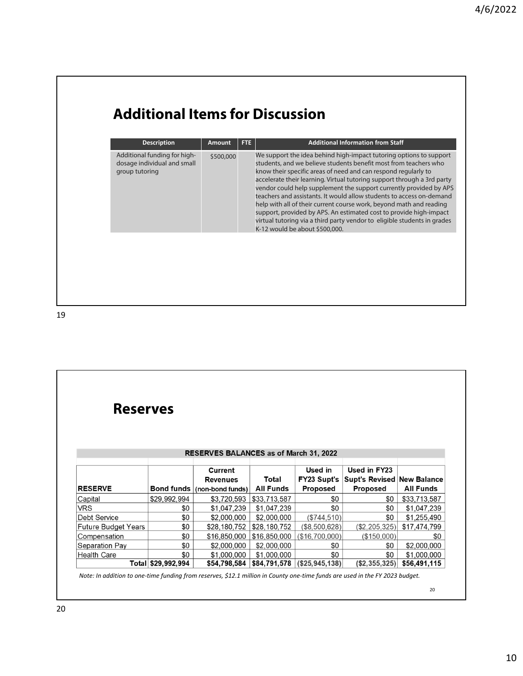## **Additional Items for Discussion**

| <b>Description</b>                                                            | <b>Amount</b> | FTE. | <b>Additional Information from Staff</b>                                                                                                                                                                                                                                                                                                                                                                                                                                                                                                                                                                                                                                                     |
|-------------------------------------------------------------------------------|---------------|------|----------------------------------------------------------------------------------------------------------------------------------------------------------------------------------------------------------------------------------------------------------------------------------------------------------------------------------------------------------------------------------------------------------------------------------------------------------------------------------------------------------------------------------------------------------------------------------------------------------------------------------------------------------------------------------------------|
| Additional funding for high-<br>dosage individual and small<br>group tutoring | \$500,000     |      | We support the idea behind high-impact tutoring options to support<br>students, and we believe students benefit most from teachers who<br>know their specific areas of need and can respond regularly to<br>accelerate their learning. Virtual tutoring support through a 3rd party<br>vendor could help supplement the support currently provided by APS<br>teachers and assistants. It would allow students to access on-demand<br>help with all of their current course work, beyond math and reading<br>support, provided by APS. An estimated cost to provide high-impact<br>virtual tutoring via a third party vendor to eligible students in grades<br>K-12 would be about \$500,000. |

| <b>Reserves</b>            |                    |                                               |                  |                        |                                                   |                  |  |  |  |  |
|----------------------------|--------------------|-----------------------------------------------|------------------|------------------------|---------------------------------------------------|------------------|--|--|--|--|
|                            |                    | <b>RESERVES BALANCES as of March 31, 2022</b> |                  |                        |                                                   |                  |  |  |  |  |
|                            |                    | <b>Current</b><br><b>Revenues</b>             | Total            | Used in<br>FY23 Supt's | Used in FY23<br><b>Supt's Revised New Balance</b> |                  |  |  |  |  |
| <b>RESERVE</b>             |                    | Bond funds $ $ (non-bond funds)               | <b>All Funds</b> | <b>Proposed</b>        | <b>Proposed</b>                                   | <b>All Funds</b> |  |  |  |  |
| Capital                    | \$29,992,994       | \$3,720,593                                   | \$33,713,587     | \$0                    | \$0                                               | \$33,713,587     |  |  |  |  |
| <b>VRS</b>                 | \$0                | \$1,047,239                                   | \$1,047,239      | \$0                    | \$0                                               | \$1,047,239      |  |  |  |  |
| <b>Debt Service</b>        | \$0                | \$2,000,000                                   | \$2,000,000      | (\$744,510)            | \$0                                               | \$1,255,490      |  |  |  |  |
| <b>Future Budget Years</b> | \$0                | \$28,180,752                                  | \$28,180,752     | (\$8,500,628)          | (\$2,205,325)                                     | \$17,474,799     |  |  |  |  |
| Compensation               | \$0                | \$16,850,000                                  | \$16,850,000     | (\$16,700,000)         | (\$150,000)                                       | \$0              |  |  |  |  |
| Separation Pay             | \$0                | \$2,000,000                                   | \$2,000,000      | \$0                    | \$0                                               | \$2,000,000      |  |  |  |  |
| <b>Health Care</b>         | \$0                | \$1,000,000                                   | \$1,000,000      | \$0                    | \$0                                               | \$1,000,000      |  |  |  |  |
|                            | Total \$29,992,994 | \$54,798,584                                  | \$84,791,578     | (S25, 945, 138)        | $($ \$2,355,325) $ $                              | \$56,491,115     |  |  |  |  |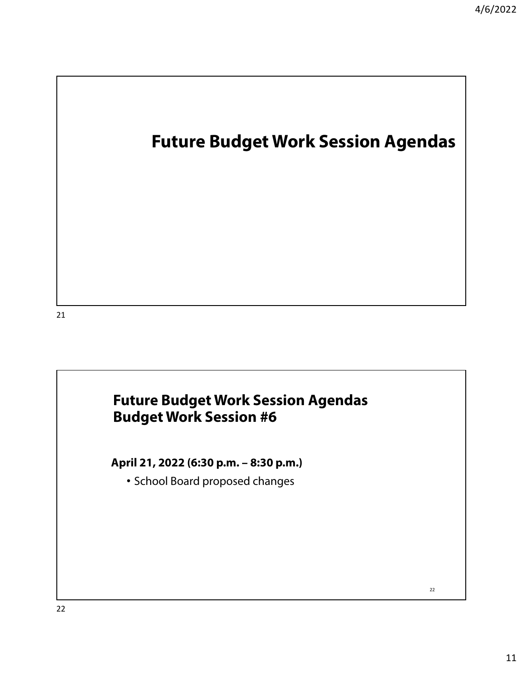# **Future Budget Work Session Agendas**

21

#### **Future Budget Work Session Agendas Budget Work Session #6**

**April 21, 2022 (6:30 p.m. – 8:30 p.m.)** 

• School Board proposed changes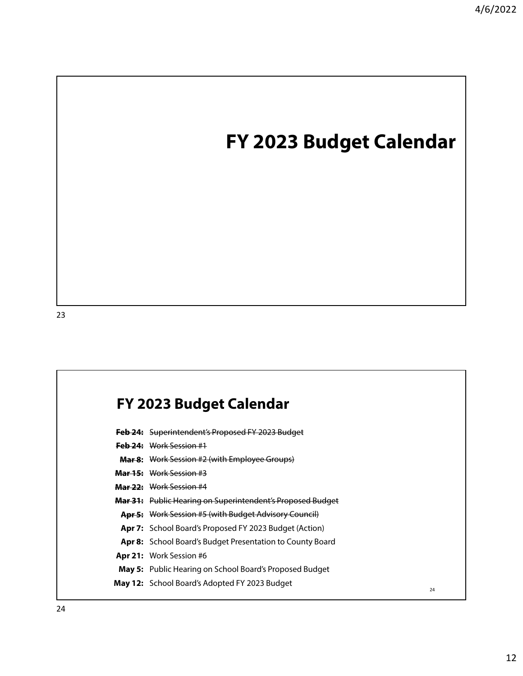# **FY 2023 Budget Calendar**

#### **FY 2023 Budget Calendar**

- **Feb 24:** Superintendent's Proposed FY 2023 Budget
- **Feb 24:** Work Session #1
- **Mar 8:** Work Session #2 (with Employee Groups)
- **Mar 15:** Work Session #3
- **Mar 22:** Work Session #4
- **Mar 31:** Public Hearing on Superintendent's Proposed Budget
- **Apr 5:** Work Session #5 (with Budget Advisory Council)
- **Apr 7:** School Board's Proposed FY 2023 Budget (Action)
- **Apr 8:** School Board's Budget Presentation to County Board
- **Apr 21:** Work Session #6
- **May 5:** Public Hearing on School Board's Proposed Budget
- **May 12:** School Board's Adopted FY 2023 Budget